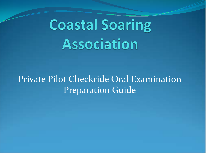# **Coastal Soaring Association**

#### Private Pilot Checkride Oral Examination Preparation Guide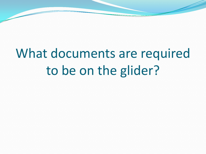# What documents are required to be on the glider?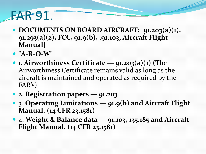# FAR 91.

- **DOCUMENTS ON BOARD AIRCRAFT: [91.203(a)(1), 91.293(a)(2), FCC, 91.9(b), .91.103, Aircraft Flight Manual]**
- **"A-R-O-W"**
- 1. **Airworthiness Certificate — 91.203(a)(1) (**The Airworthiness Certificate remains valid as long as the aircraft is maintained and operated as required by the FAR's)
- 2. **Registration papers — 91.203**
- 3. **Operating Limitations — 91.9(b) and Aircraft Flight Manual. (14 CFR 23.1581)**
- 4. **Weight & Balance data — 91.103, 135.185 and Aircraft Flight Manual. (14 CFR 23.1581)**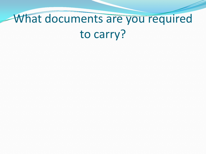# What documents are you required to carry?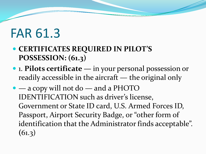### FAR 61.3

- **CERTIFICATES REQUIRED IN PILOT'S POSSESSION: (61.3)**
- 1. **Pilots certificate —** in your personal possession or readily accessible in the aircraft — the original only
- — a copy will not do and a PHOTO IDENTIFICATION such as driver's license, Government or State ID card, U.S. Armed Forces ID, Passport, Airport Security Badge, or "other form of identification that the Administrator finds acceptable". **(**61.3)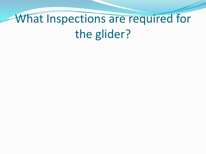# What Inspections are required for the glider?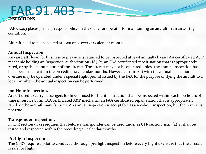#### FAR 91.403 **INSPECTIONS**

FAR 91.403 places primary responsibility on the owner or operator for maintaining an aircraft in an airworthy condition.

Aircraft need to be inspected at least once every 12 calendar months.

#### **Annual Inspection.**

Any aircraft flown for business or pleasure is required to be inspected at least annually by an FAA certificated A&P mechanic holding an Inspection Authorization (IA), by an FAA certificated repair station that is appropriately rated, or by the manufacturer of the aircraft. The aircraft may not be operated unless the annual inspection has been performed within the preceding 12 calendar months. However, an aircraft with the annual inspection overdue may be operated under a special flight permit issued by the FAA for the purpose of flying the aircraft to a location where the annual inspection can be performed.

#### **100-Hour Inspection.**

Arcraft used to carry passengers for hire or used for flight instruction shall be inspected within each 100 hours of time in service by an FAA certificated A&P mechanic, an FAA certificated repair station that is appropriately rated, or the aircraft manufacturer. An annual inspection is acceptable as a 100-hour inspection, but the reverse is not true.

#### **Transponder Inspection.**

14 CFR section 91.413 requires that before a transponder can be used under 14 CFR section 91.215(a), it shall be tested and inspected within the preceding 24 calendar months.

#### **Preflight Inspection.**

The CFR's require a pilot to conduct a thorough preflight inspection before every flight to ensure that the aircraft is safe for flight.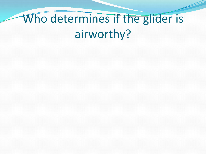# Who determines if the glider is airworthy?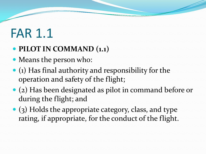# FAR 1.1

#### **PILOT IN COMMAND (1.1)**

- Means the person who:
- $\bullet$  (1) Has final authority and responsibility for the operation and safety of the flight;
- (2) Has been designated as pilot in command before or during the flight; and
- (3) Holds the appropriate category, class, and type rating, if appropriate, for the conduct of the flight.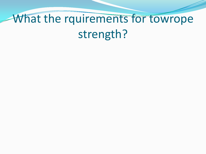# What the rquirements for towrope strength?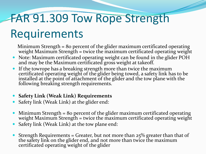#### FAR 91.309 Tow Rope Strength

#### Requirements

Minimum Strength = 80 percent of the glider maximum certificated operating weight Maximum Strength = twice the maximum certificated operating weight

- Note: Maximum certificated operating weight can be found in the glider POH and may be the Maximum certificated gross weight at takeoff.
- If the towrope has a breaking strength more than twice the maximum certificated operating weight of the glider being towed, a safety link has to be installed at the point of attachment of the glider and the tow plane with the following breaking strength requirements.
- **Safety Link (Weak Link) Requirements**
- Safety link (Weak Link) at the glider end:
- Minimum Strength = 80 percent of the glider maximum certificated operating weight Maximum Strength = twice the maximum certificated operating weight
- Safety link (Weak Link) at the tow plane end:
- Strength Requirements = Greater, but not more than  $25\%$  greater than that of the safety link on the glider end, and not more than twice the maximum certificated operating weight of the glider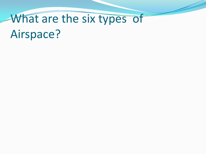# What are the six types of Airspace?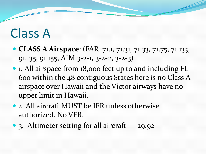## Class A

- **CLASS A Airspace**: (FAR 71.1, 71.31, 71.33, 71.75, 71.133, 91.135, 91.155, AIM 3-2-1, 3-2-2, 3-2-3)
- 1. All airspace from 18,000 feet up to and including FL 600 within the 48 contiguous States here is no Class A airspace over Hawaii and the Victor airways have no upper limit in Hawaii.
- 2. All aircraft MUST be IFR unless otherwise authorized. No VFR.
- 3. Altimeter setting for all aircraft 29.92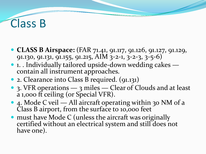#### Class B

- **CLASS B Airspace:** (FAR 71.41, 91.117, 91.126, 91.127, 91.129, 91.130, 91.131, 91.155, 91.215, AIM 3-2-1, 3-2-3, 3-5-6)
- 1. . Individually tailored upside-down wedding cakes contain all instrument approaches.
- 2. Clearance into Class B required. (91.131)
- 3. VFR operations 3 miles Clear of Clouds and at least a 1,000 ft ceiling (or Special VFR).
- 4. Mode C veil All aircraft operating within 30 NM of a Class B airport, from the surface to 10,000 feet
- must have Mode C (unless the aircraft was originally certified without an electrical system and still does not have one).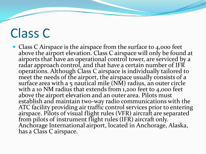# Class C

• Class C Airspace is the airspace from the surface to 4,000 feet above the airport elevation. Class C airspace will only be found at airports that have an operational control tower, are serviced by a radar approach control, and that have a certain number of IFR operations. Although Class C airspace is individually tailored to meet the needs of the airport, the airspace usually consists of a surface area with a 5 nautical mile (NM) radius, an outer circle with a 10 NM radius that extends from 1,200 feet to 4,000 feet above the airport elevation and an outer area. Pilots must<br>establish and maintain two-way radio communications with the ATC facility providing air traffic control services prior to entering airspace. Pilots of visual flight rules (VFR) aircraft are separated from pilots of instrument flight rules (IFR) aircraft only. Anchorage International airport, located in Anchorage, Alaska, has a Class C airspace.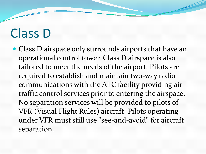# Class D

 Class D airspace only surrounds airports that have an operational control tower. Class D airspace is also tailored to meet the needs of the airport. Pilots are required to establish and maintain two-way radio communications with the ATC facility providing air traffic control services prior to entering the airspace. No separation services will be provided to pilots of VFR (Visual Flight Rules) aircraft. Pilots operating under VFR must still use "see-and-avoid" for aircraft separation.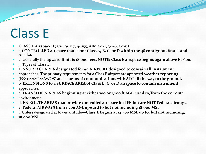# Class E

- **CLASS E Airspace: (71.71, 91.127, 91.155, AIM 3-2-1, 3-2-6, 3-2-8)**
- 1. **CONTROLLED airspace that is not Class A, B, C, or D within the 48 contiguous States and Alaska.**
- 2. Generally the **upward limit is 18,000 feet. NOTE: Class E airspace begins again above FL 600.**
- 3. Types of Class E:
- a. A **SURFACE AREA designated for an AIRPORT designed to contain all instrument**
- approaches. The primary requirements for a Class E airport are approved **weather reporting**
- (FSS or ASOS/AWOS) and a means of **communications with ATC all the way to the ground.**
- b. **EXTENSIONS to a SURFACE AREA of Class B, C, or D airspace to contain instrument**
- approaches.
- c. **TRANSITION AREAS beginning at either 700 or 1,200 ft AGL, used to/from the en route**
- environment.
- d. **EN ROUTE AREAS that provide controlled airspace for IFR but are NOT Federal airways.**
- e. **Federal AIRWAYS from 1,200 AGL upward to but not including 18,000 MSL.**
- f. Unless designated at lower altitude—**Class E begins at 14,500 MSL up to, but not including,**
- **18,000 MSL.**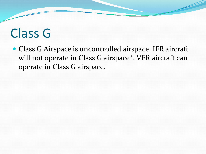### Class G

 Class G Airspace is uncontrolled airspace. IFR aircraft will not operate in Class G airspace\*. VFR aircraft can operate in Class G airspace.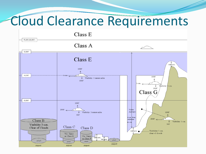#### Cloud Clearance Requirements

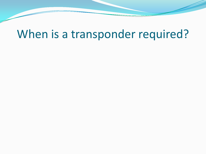#### When is a transponder required?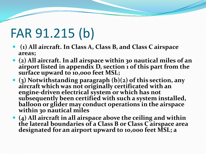# FAR 91.215 (b)

- **(1) All aircraft. In Class A, Class B, and Class C airspace areas;**
- **(2) All aircraft. In all airspace within 30 nautical miles of an airport listed in appendix D, section 1 of this part from the surface upward to 10,000 feet MSL;**
- **(3) Notwithstanding paragraph (b)(2) of this section, any aircraft which was not originally certificated with an engine-driven electrical system or which has not subsequently been certified with such a system installed, balloon or glider may conduct operations in the airspace within 30 nautical miles**
- **(4) All aircraft in all airspace above the ceiling and within the lateral boundaries of a Class B or Class C airspace area designated for an airport upward to 10,000 feet MSL; a**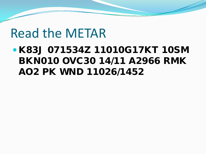#### Read the METAR

#### K83J 071534Z 11010G17KT 10SM BKN010 OVC30 14/11 A2966 RMK AO2 PK WND 11026/1452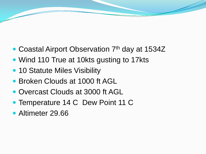- Coastal Airport Observation 7<sup>th</sup> day at 1534Z
- Wind 110 True at 10kts gusting to 17kts
- 10 Statute Miles Visibility
- Broken Clouds at 1000 ft AGL
- Overcast Clouds at 3000 ft AGL
- Temperature 14 C Dew Point 11 C
- Altimeter 29.66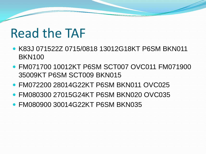#### Read the TAF

- K83J 071522Z 0715/0818 13012G18KT P6SM BKN011 BKN100
- FM071700 10012KT P6SM SCT007 OVC011 FM071900 35009KT P6SM SCT009 BKN015
- FM072200 28014G22KT P6SM BKN011 OVC025
- FM080300 27015G24KT P6SM BKN020 OVC035
- FM080900 30014G22KT P6SM BKN035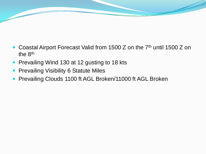- Coastal Airport Forecast Valid from 1500 Z on the 7<sup>th</sup> until 1500 Z on the 8th
- Prevailing Wind 130 at 12 gusting to 18 kts
- Prevailing Visibility 6 Statute Miles
- Prevailing Clouds 1100 ft AGL Broken/11000 ft AGL Broken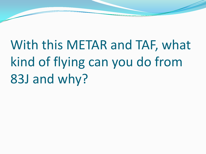With this METAR and TAF, what kind of flying can you do from 83J and why?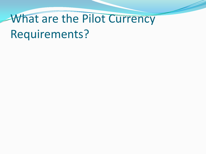# What are the Pilot Currency Requirements?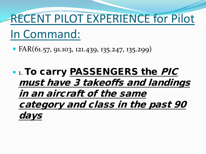### RECENT PILOT EXPERIENCE for Pilot

#### In Command:

 $\bullet$  FAR(61.57, 91.103, 121.439, 135.247, 135.299)

**• 1. To carry PASSENGERS the PIC** must have 3 takeoffs and landings in an aircraft of the same category and class in the past 90 days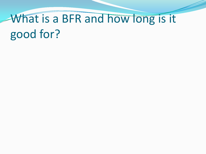# What is a BFR and how long is it good for?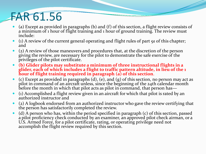#### FAR 61.56

- (a) Except as provided in paragraphs (b) and (f) of this section, a flight review consists of a minimum of 1 hour of flight training and 1 hour of ground training. The review must include:
- (1) A review of the current general operating and flight rules of part 91 of this chapter; and
- (2) A review of those maneuvers and procedures that, at the discretion of the person giving the review, are necessary for the pilot to demonstrate the safe exercise of the privileges of the pilot certificate.
- **(b) Glider pilots may substitute a minimum of three instructional flights in a glider, each of which includes a flight to traffic pattern altitude, in lieu of the 1 hour of flight training required in paragraph (a) of this section**.
- $\bullet$  (c) Except as provided in paragraphs (d), (e), and (g) of this section, no person may act as pilot in command of an aircraft unless, since the beginning of the 24th calendar month before the month in which that pilot acts as pilot in command, that person has—
- (1) Accomplished a flight review given in an aircraft for which that pilot is rated by an authorized instructor and
- (2) A logbook endorsed from an authorized instructor who gave the review certifying that the person has satisfactorily completed the review.
- (d) A person who has, within the period specified in paragraph (c) of this section, passed a pilot proficiency check conducted by an examiner, an approved pilot check airman, or a U.S. Armed Force, for a pilot certificate, rating, or operating privilege need not accomplish the flight review required by this section.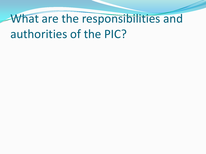# What are the responsibilities and authorities of the PIC?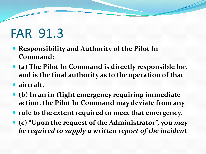# FAR 91.3

- **Responsibility and Authority of the Pilot In Command:**
- **(a) The Pilot In Command is directly responsible for, and is the final authority as to the operation of that**
- **aircraft.**
- **(b) In an in-flight emergency requiring immediate action, the Pilot In Command may deviate from any**
- **rule to the extent required to meet that emergency.**
- **(c) "Upon the request of the Administrator", you** *may be required to supply a written report of the incident*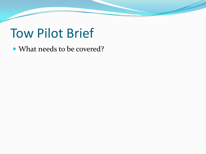#### Tow Pilot Brief

What needs to be covered?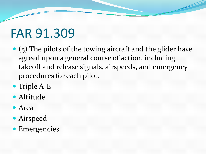# FAR 91.309

- (5) The pilots of the towing aircraft and the glider have agreed upon a general course of action, including takeoff and release signals, airspeeds, and emergency procedures for each pilot.
- Triple A-E
- Altitude
- Area
- Airspeed
- Emergencies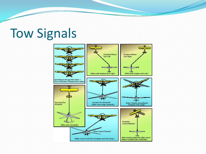#### Tow Signals

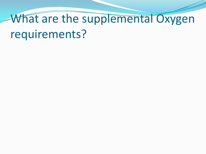# What are the supplemental Oxygen requirements?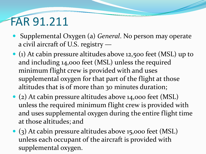#### FAR 91.211

- Supplemental Oxygen (a) *General*. No person may operate a civil aircraft of U.S. registry —
- (1) At cabin pressure altitudes above 12,500 feet (MSL) up to and including 14,000 feet (MSL) unless the required minimum flight crew is provided with and uses supplemental oxygen for that part of the flight at those altitudes that is of more than 30 minutes duration;
- (2) At cabin pressure altitudes above 14,000 feet (MSL) unless the required minimum flight crew is provided with and uses supplemental oxygen during the entire flight time at those altitudes; and
- (3) At cabin pressure altitudes above 15,000 feet (MSL) unless each occupant of the aircraft is provided with supplemental oxygen.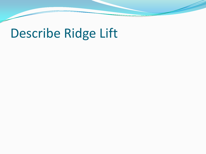#### Describe Ridge Lift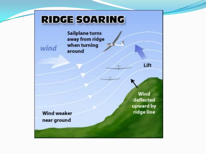#### **RIDGE SOARING**

**Sailplane turns** away from ridge when turning around

> Wind deflected upward by ridge line

Lift

**Wind weaker** near ground

wind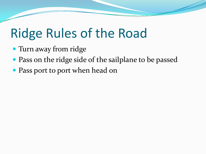# Ridge Rules of the Road

- Turn away from ridge
- Pass on the ridge side of the sailplane to be passed
- Pass port to port when head on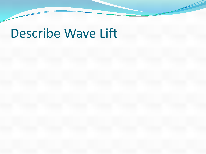#### Describe Wave Lift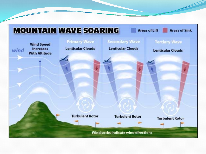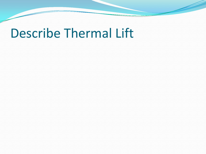#### Describe Thermal Lift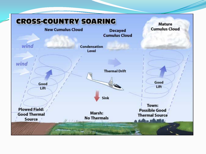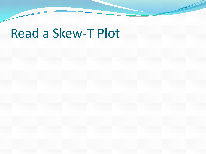#### Read a Skew-T Plot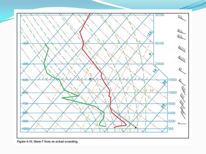

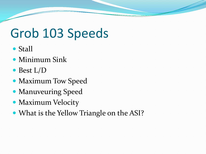# Grob 103 Speeds

- Stall
- Minimum Sink
- Best L/D
- Maximum Tow Speed
- **Manuveuring Speed**
- Maximum Velocity
- What is the Yellow Triangle on the ASI?